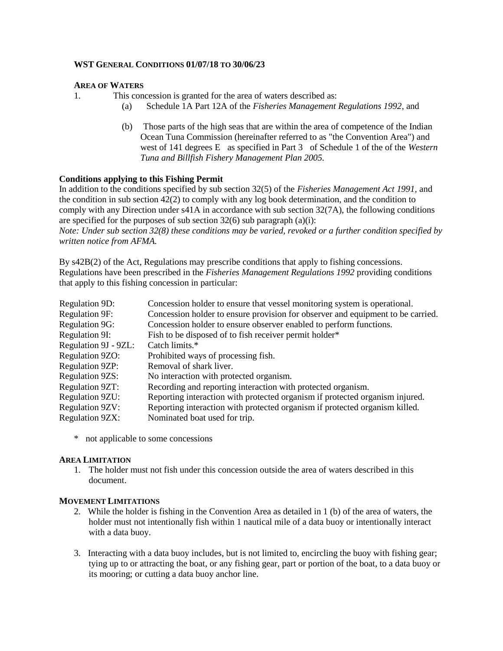#### **WST GENERAL CONDITIONS 01/07/18 TO 30/06/23**

## **AREA OF WATERS**

```
1. This concession is granted for the area of waters described as:
```
- (a) Schedule 1A Part 12A of the *Fisheries Management Regulations 1992*, and
- (b) Those parts of the high seas that are within the area of competence of the Indian Ocean Tuna Commission (hereinafter referred to as "the Convention Area") and west of 141 degrees E as specified in Part 3 of Schedule 1 of the of the *Western Tuna and Billfish Fishery Management Plan 2005.*

## **Conditions applying to this Fishing Permit**

In addition to the conditions specified by sub section 32(5) of the *Fisheries Management Act 1991,* and the condition in sub section 42(2) to comply with any log book determination, and the condition to comply with any Direction under s41A in accordance with sub section 32(7A), the following conditions are specified for the purposes of sub section  $32(6)$  sub paragraph (a)(i):

*Note: Under sub section 32(8) these conditions may be varied, revoked or a further condition specified by written notice from AFMA.*

By s42B(2) of the Act, Regulations may prescribe conditions that apply to fishing concessions. Regulations have been prescribed in the *Fisheries Management Regulations 1992* providing conditions that apply to this fishing concession in particular:

| Concession holder to ensure that vessel monitoring system is operational.       |
|---------------------------------------------------------------------------------|
| Concession holder to ensure provision for observer and equipment to be carried. |
| Concession holder to ensure observer enabled to perform functions.              |
| Fish to be disposed of to fish receiver permit holder*                          |
| Catch limits.*                                                                  |
| Prohibited ways of processing fish.                                             |
| Removal of shark liver.                                                         |
| No interaction with protected organism.                                         |
| Recording and reporting interaction with protected organism.                    |
| Reporting interaction with protected organism if protected organism injured.    |
| Reporting interaction with protected organism if protected organism killed.     |
| Nominated boat used for trip.                                                   |
|                                                                                 |

\* not applicable to some concessions

## **AREA LIMITATION**

1. The holder must not fish under this concession outside the area of waters described in this document.

## **MOVEMENT LIMITATIONS**

- 2. While the holder is fishing in the Convention Area as detailed in 1 (b) of the area of waters, the holder must not intentionally fish within 1 nautical mile of a data buoy or intentionally interact with a data buoy.
- 3. Interacting with a data buoy includes, but is not limited to, encircling the buoy with fishing gear; tying up to or attracting the boat, or any fishing gear, part or portion of the boat, to a data buoy or its mooring; or cutting a data buoy anchor line.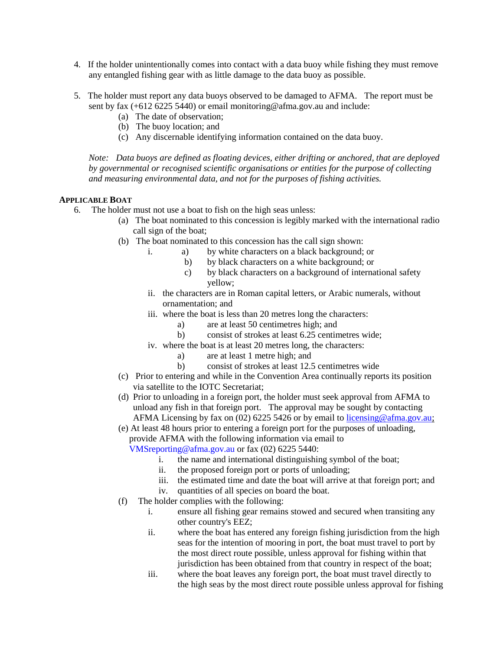- 4. If the holder unintentionally comes into contact with a data buoy while fishing they must remove any entangled fishing gear with as little damage to the data buoy as possible.
- 5. The holder must report any data buoys observed to be damaged to AFMA. The report must be sent by fax (+612 6225 5440) or email monitoring@afma.gov.au and include:
	- (a) The date of observation;
	- (b) The buoy location; and
	- (c) Any discernable identifying information contained on the data buoy.

*Note: Data buoys are defined as floating devices, either drifting or anchored, that are deployed by governmental or recognised scientific organisations or entities for the purpose of collecting and measuring environmental data, and not for the purposes of fishing activities.* 

## **APPLICABLE BOAT**

- 6. The holder must not use a boat to fish on the high seas unless:
	- (a) The boat nominated to this concession is legibly marked with the international radio call sign of the boat;
	- (b) The boat nominated to this concession has the call sign shown:
		- i. a) by white characters on a black background; or
			- b) by black characters on a white background; or
			- c) by black characters on a background of international safety yellow;
		- ii. the characters are in Roman capital letters, or Arabic numerals, without ornamentation; and
		- iii. where the boat is less than 20 metres long the characters:
			- a) are at least 50 centimetres high; and
			- b) consist of strokes at least 6.25 centimetres wide;
		- iv. where the boat is at least 20 metres long, the characters:
			- a) are at least 1 metre high; and
			- b) consist of strokes at least 12.5 centimetres wide
	- (c) Prior to entering and while in the Convention Area continually reports its position via satellite to the IOTC Secretariat;
	- (d) Prior to unloading in a foreign port, the holder must seek approval from AFMA to unload any fish in that foreign port. The approval may be sought by contacting AFMA Licensing by fax on (02) 6225 5426 or by email to licensing@afma.gov.au;

(e) At least 48 hours prior to entering a foreign port for the purposes of unloading, provide AFMA with the following information via email to

VMSreporting@afma.gov.au or fax (02) 6225 5440:

- i. the name and international distinguishing symbol of the boat;
- ii. the proposed foreign port or ports of unloading;
- iii. the estimated time and date the boat will arrive at that foreign port; and
- iv. quantities of all species on board the boat.
- (f) The holder complies with the following:
	- i. ensure all fishing gear remains stowed and secured when transiting any other country's EEZ;
	- ii. where the boat has entered any foreign fishing jurisdiction from the high seas for the intention of mooring in port, the boat must travel to port by the most direct route possible, unless approval for fishing within that jurisdiction has been obtained from that country in respect of the boat;
	- iii. where the boat leaves any foreign port, the boat must travel directly to the high seas by the most direct route possible unless approval for fishing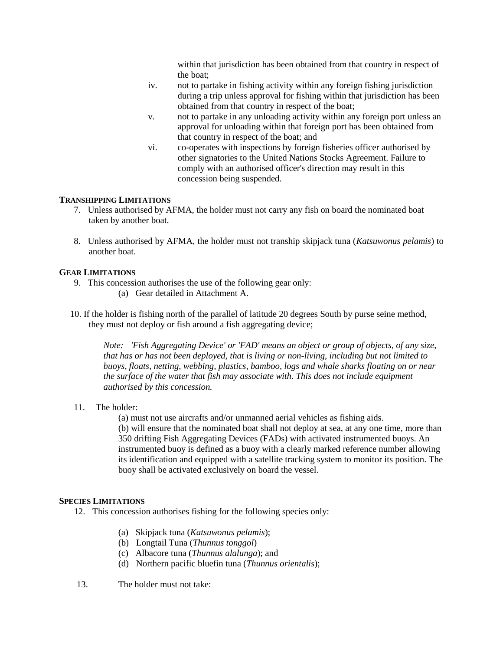within that jurisdiction has been obtained from that country in respect of the boat;

- iv. not to partake in fishing activity within any foreign fishing jurisdiction during a trip unless approval for fishing within that jurisdiction has been obtained from that country in respect of the boat;
- v. not to partake in any unloading activity within any foreign port unless an approval for unloading within that foreign port has been obtained from that country in respect of the boat; and
- vi. co-operates with inspections by foreign fisheries officer authorised by other signatories to the United Nations Stocks Agreement. Failure to comply with an authorised officer's direction may result in this concession being suspended.

#### **TRANSHIPPING LIMITATIONS**

- 7. Unless authorised by AFMA, the holder must not carry any fish on board the nominated boat taken by another boat.
- 8. Unless authorised by AFMA, the holder must not tranship skipjack tuna (*Katsuwonus pelamis*) to another boat.

#### **GEAR LIMITATIONS**

- 9. This concession authorises the use of the following gear only: (a) Gear detailed in Attachment A.
- 10. If the holder is fishing north of the parallel of latitude 20 degrees South by purse seine method, they must not deploy or fish around a fish aggregating device;

*Note: 'Fish Aggregating Device' or 'FAD' means an object or group of objects, of any size, that has or has not been deployed, that is living or non-living, including but not limited to buoys, floats, netting, webbing, plastics, bamboo, logs and whale sharks floating on or near the surface of the water that fish may associate with. This does not include equipment authorised by this concession.*

- 11. The holder:
	- (a) must not use aircrafts and/or unmanned aerial vehicles as fishing aids.

(b) will ensure that the nominated boat shall not deploy at sea, at any one time, more than 350 drifting Fish Aggregating Devices (FADs) with activated instrumented buoys. An instrumented buoy is defined as a buoy with a clearly marked reference number allowing its identification and equipped with a satellite tracking system to monitor its position. The buoy shall be activated exclusively on board the vessel.

#### **SPECIES LIMITATIONS**

- 12. This concession authorises fishing for the following species only:
	- (a) Skipjack tuna (*Katsuwonus pelamis*);
	- (b) Longtail Tuna (*Thunnus tonggol*)
	- (c) Albacore tuna (*Thunnus alalunga*); and
	- (d) Northern pacific bluefin tuna (*Thunnus orientalis*);
- 13. The holder must not take: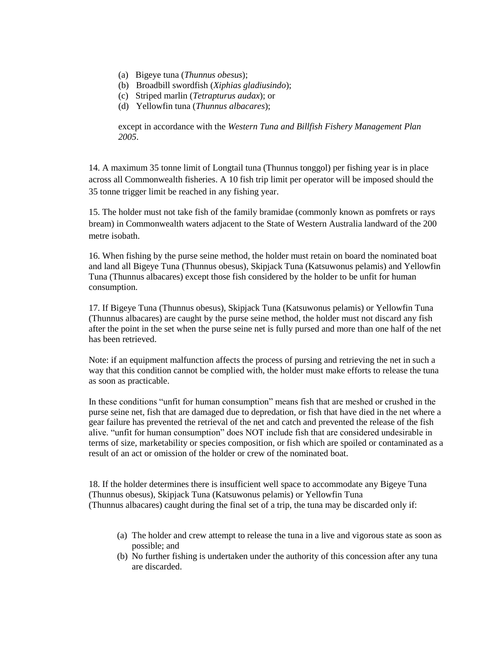- (a) Bigeye tuna (*Thunnus obesus*);
- (b) Broadbill swordfish (*Xiphias gladiusindo*);
- (c) Striped marlin (*Tetrapturus audax*); or
- (d) Yellowfin tuna (*Thunnus albacares*);

except in accordance with the *Western Tuna and Billfish Fishery Management Plan 2005*.

14. A maximum 35 tonne limit of Longtail tuna (Thunnus tonggol) per fishing year is in place across all Commonwealth fisheries. A 10 fish trip limit per operator will be imposed should the 35 tonne trigger limit be reached in any fishing year.

15. The holder must not take fish of the family bramidae (commonly known as pomfrets or rays bream) in Commonwealth waters adjacent to the State of Western Australia landward of the 200 metre isobath.

16. When fishing by the purse seine method, the holder must retain on board the nominated boat and land all Bigeye Tuna (Thunnus obesus), Skipjack Tuna (Katsuwonus pelamis) and Yellowfin Tuna (Thunnus albacares) except those fish considered by the holder to be unfit for human consumption.

17. If Bigeye Tuna (Thunnus obesus), Skipjack Tuna (Katsuwonus pelamis) or Yellowfin Tuna (Thunnus albacares) are caught by the purse seine method, the holder must not discard any fish after the point in the set when the purse seine net is fully pursed and more than one half of the net has been retrieved.

Note: if an equipment malfunction affects the process of pursing and retrieving the net in such a way that this condition cannot be complied with, the holder must make efforts to release the tuna as soon as practicable.

In these conditions "unfit for human consumption" means fish that are meshed or crushed in the purse seine net, fish that are damaged due to depredation, or fish that have died in the net where a gear failure has prevented the retrieval of the net and catch and prevented the release of the fish alive. "unfit for human consumption" does NOT include fish that are considered undesirable in terms of size, marketability or species composition, or fish which are spoiled or contaminated as a result of an act or omission of the holder or crew of the nominated boat.

18. If the holder determines there is insufficient well space to accommodate any Bigeye Tuna (Thunnus obesus), Skipjack Tuna (Katsuwonus pelamis) or Yellowfin Tuna (Thunnus albacares) caught during the final set of a trip, the tuna may be discarded only if:

- (a) The holder and crew attempt to release the tuna in a live and vigorous state as soon as possible; and
- (b) No further fishing is undertaken under the authority of this concession after any tuna are discarded.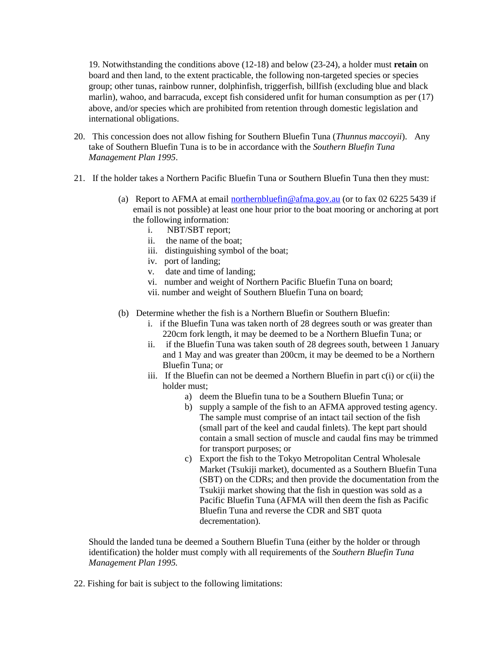19. Notwithstanding the conditions above (12-18) and below (23-24), a holder must **retain** on board and then land, to the extent practicable, the following non-targeted species or species group; other tunas, rainbow runner, dolphinfish, triggerfish, billfish (excluding blue and black marlin), wahoo, and barracuda, except fish considered unfit for human consumption as per (17) above, and/or species which are prohibited from retention through domestic legislation and international obligations.

- 20. This concession does not allow fishing for Southern Bluefin Tuna (*Thunnus maccoyii*). Any take of Southern Bluefin Tuna is to be in accordance with the *Southern Bluefin Tuna Management Plan 1995*.
- 21. If the holder takes a Northern Pacific Bluefin Tuna or Southern Bluefin Tuna then they must:
	- (a) Report to AFMA at email northernbluefin@afma.gov.au (or to fax 02 6225 5439 if email is not possible) at least one hour prior to the boat mooring or anchoring at port the following information:
		- i. NBT/SBT report;
		- ii. the name of the boat;
		- iii. distinguishing symbol of the boat;
		- iv. port of landing;
		- v. date and time of landing;
		- vi. number and weight of Northern Pacific Bluefin Tuna on board;
		- vii. number and weight of Southern Bluefin Tuna on board;
	- (b) Determine whether the fish is a Northern Bluefin or Southern Bluefin:
		- i. if the Bluefin Tuna was taken north of 28 degrees south or was greater than 220cm fork length, it may be deemed to be a Northern Bluefin Tuna; or
		- ii. if the Bluefin Tuna was taken south of 28 degrees south, between 1 January and 1 May and was greater than 200cm, it may be deemed to be a Northern Bluefin Tuna; or
		- iii. If the Bluefin can not be deemed a Northern Bluefin in part  $c(i)$  or  $c(ii)$  the holder must;
			- a) deem the Bluefin tuna to be a Southern Bluefin Tuna; or
			- b) supply a sample of the fish to an AFMA approved testing agency. The sample must comprise of an intact tail section of the fish (small part of the keel and caudal finlets). The kept part should contain a small section of muscle and caudal fins may be trimmed for transport purposes; or
			- c) Export the fish to the Tokyo Metropolitan Central Wholesale Market (Tsukiji market), documented as a Southern Bluefin Tuna (SBT) on the CDRs; and then provide the documentation from the Tsukiji market showing that the fish in question was sold as a Pacific Bluefin Tuna (AFMA will then deem the fish as Pacific Bluefin Tuna and reverse the CDR and SBT quota decrementation).

Should the landed tuna be deemed a Southern Bluefin Tuna (either by the holder or through identification) the holder must comply with all requirements of the *Southern Bluefin Tuna Management Plan 1995.* 

22. Fishing for bait is subject to the following limitations: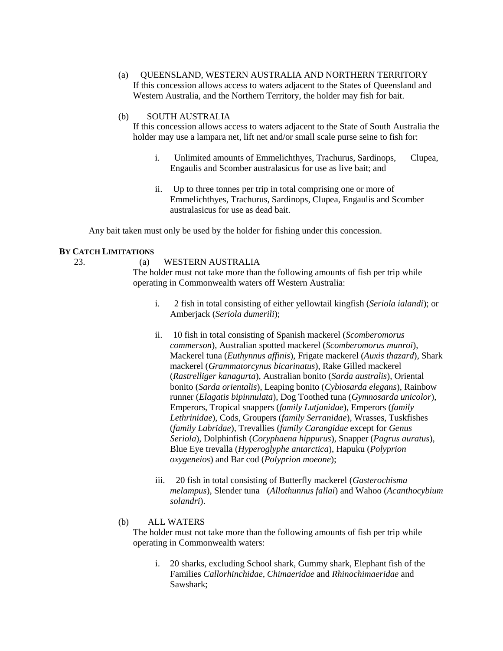(a) QUEENSLAND, WESTERN AUSTRALIA AND NORTHERN TERRITORY If this concession allows access to waters adjacent to the States of Queensland and Western Australia, and the Northern Territory, the holder may fish for bait.

#### (b) SOUTH AUSTRALIA

If this concession allows access to waters adjacent to the State of South Australia the holder may use a lampara net, lift net and/or small scale purse seine to fish for:

- i. Unlimited amounts of Emmelichthyes, Trachurus, Sardinops, Clupea, Engaulis and Scomber australasicus for use as live bait; and
- ii. Up to three tonnes per trip in total comprising one or more of Emmelichthyes, Trachurus, Sardinops, Clupea, Engaulis and Scomber australasicus for use as dead bait.

Any bait taken must only be used by the holder for fishing under this concession.

## **BY CATCH LIMITATIONS**

23. (a) WESTERN AUSTRALIA

The holder must not take more than the following amounts of fish per trip while operating in Commonwealth waters off Western Australia:

- i. 2 fish in total consisting of either yellowtail kingfish (*Seriola ialandi*); or Amberjack (*Seriola dumerili*);
- ii. 10 fish in total consisting of Spanish mackerel (*Scomberomorus commerson*), Australian spotted mackerel (*Scomberomorus munroi*), Mackerel tuna (*Euthynnus affinis*), Frigate mackerel (*Auxis thazard*), Shark mackerel (*Grammatorcynus bicarinatus*), Rake Gilled mackerel (*Rastrelliger kanagurta*), Australian bonito (*Sarda australis*), Oriental bonito (*Sarda orientalis*), Leaping bonito (*Cybiosarda elegans*), Rainbow runner (*Elagatis bipinnulata*), Dog Toothed tuna (*Gymnosarda unicolor*), Emperors, Tropical snappers (*family Lutjanidae*), Emperors (*family Lethrinidae*), Cods, Groupers (*family Serranidae*), Wrasses, Tuskfishes (*family Labridae*), Trevallies (*family Carangidae* except for *Genus Seriola*), Dolphinfish (*Coryphaena hippurus*), Snapper (*Pagrus auratus*), Blue Eye trevalla (*Hyperoglyphe antarctica*), Hapuku (*Polyprion oxygeneios*) and Bar cod (*Polyprion moeone*);
- iii. 20 fish in total consisting of Butterfly mackerel (*Gasterochisma melampus*), Slender tuna (*Allothunnus fallai*) and Wahoo (*Acanthocybium solandri*).

## (b) ALL WATERS

The holder must not take more than the following amounts of fish per trip while operating in Commonwealth waters:

i. 20 sharks, excluding School shark, Gummy shark, Elephant fish of the Families *Callorhinchidae, Chimaeridae* and *Rhinochimaeridae* and Sawshark;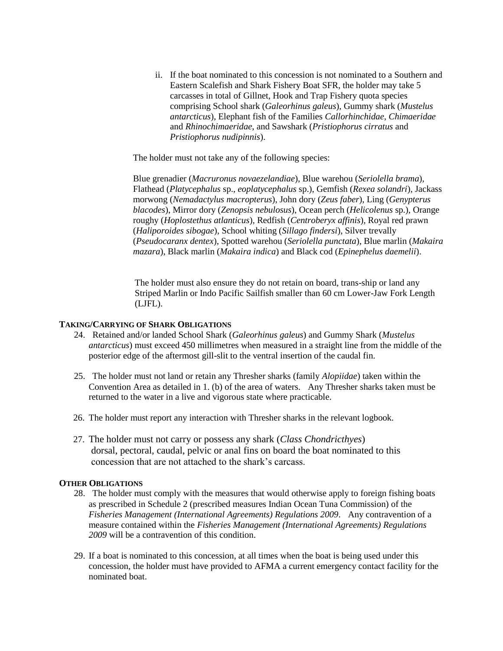ii. If the boat nominated to this concession is not nominated to a Southern and Eastern Scalefish and Shark Fishery Boat SFR, the holder may take 5 carcasses in total of Gillnet, Hook and Trap Fishery quota species comprising School shark (*Galeorhinus galeus*), Gummy shark (*Mustelus antarcticus*), Elephant fish of the Families *Callorhinchidae, Chimaeridae* and *Rhinochimaeridae*, and Sawshark (*Pristiophorus cirratus* and *Pristiophorus nudipinnis*).

The holder must not take any of the following species:

Blue grenadier (*Macruronus novaezelandiae*), Blue warehou (*Seriolella brama*), Flathead (*Platycephalus* sp., *eoplatycephalus* sp.), Gemfish (*Rexea solandri*), Jackass morwong (*Nemadactylus macropterus*), John dory (*Zeus faber*), Ling (*Genypterus blacodes*), Mirror dory (*Zenopsis nebulosus*), Ocean perch (*Helicolenus* sp.), Orange roughy (*Hoplostethus atlanticus*), Redfish (*Centroberyx affinis*), Royal red prawn (*Haliporoides sibogae*), School whiting (*Sillago findersi*), Silver trevally (*Pseudocaranx dentex*), Spotted warehou (*Seriolella punctata*), Blue marlin (*Makaira mazara*), Black marlin (*Makaira indica*) and Black cod (*Epinephelus daemelii*).

The holder must also ensure they do not retain on board, trans-ship or land any Striped Marlin or Indo Pacific Sailfish smaller than 60 cm Lower-Jaw Fork Length (LJFL).

#### **TAKING/CARRYING OF SHARK OBLIGATIONS**

- 24. Retained and/or landed School Shark (*Galeorhinus galeus*) and Gummy Shark (*Mustelus antarcticus*) must exceed 450 millimetres when measured in a straight line from the middle of the posterior edge of the aftermost gill-slit to the ventral insertion of the caudal fin.
- 25. The holder must not land or retain any Thresher sharks (family *Alopiidae*) taken within the Convention Area as detailed in 1. (b) of the area of waters. Any Thresher sharks taken must be returned to the water in a live and vigorous state where practicable.
- 26. The holder must report any interaction with Thresher sharks in the relevant logbook.
- 27. The holder must not carry or possess any shark (*Class Chondricthyes*) dorsal, pectoral, caudal, pelvic or anal fins on board the boat nominated to this concession that are not attached to the shark's carcass.

## **OTHER OBLIGATIONS**

- 28. The holder must comply with the measures that would otherwise apply to foreign fishing boats as prescribed in Schedule 2 (prescribed measures Indian Ocean Tuna Commission) of the *Fisheries Management (International Agreements) Regulations 2009*. Any contravention of a measure contained within the *Fisheries Management (International Agreements) Regulations 2009* will be a contravention of this condition.
- 29. If a boat is nominated to this concession, at all times when the boat is being used under this concession, the holder must have provided to AFMA a current emergency contact facility for the nominated boat.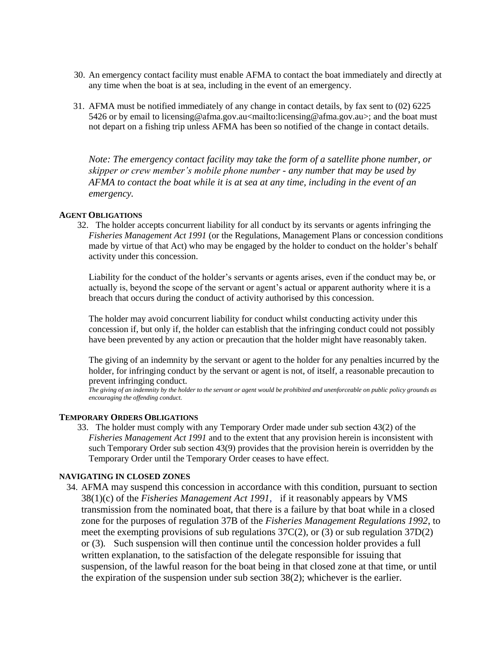- 30. An emergency contact facility must enable AFMA to contact the boat immediately and directly at any time when the boat is at sea, including in the event of an emergency.
- 31. AFMA must be notified immediately of any change in contact details, by fax sent to (02) 6225 5426 or by email to licensing@afma.gov.au<mailto:licensing@afma.gov.au>; and the boat must not depart on a fishing trip unless AFMA has been so notified of the change in contact details.

*Note: The emergency contact facility may take the form of a satellite phone number, or skipper or crew member's mobile phone number - any number that may be used by AFMA to contact the boat while it is at sea at any time, including in the event of an emergency.* 

#### **AGENT OBLIGATIONS**

 32. The holder accepts concurrent liability for all conduct by its servants or agents infringing the *Fisheries Management Act 1991* (or the Regulations, Management Plans or concession conditions made by virtue of that Act) who may be engaged by the holder to conduct on the holder's behalf activity under this concession.

Liability for the conduct of the holder's servants or agents arises, even if the conduct may be, or actually is, beyond the scope of the servant or agent's actual or apparent authority where it is a breach that occurs during the conduct of activity authorised by this concession.

The holder may avoid concurrent liability for conduct whilst conducting activity under this concession if, but only if, the holder can establish that the infringing conduct could not possibly have been prevented by any action or precaution that the holder might have reasonably taken.

The giving of an indemnity by the servant or agent to the holder for any penalties incurred by the holder, for infringing conduct by the servant or agent is not, of itself, a reasonable precaution to prevent infringing conduct.

*The giving of an indemnity by the holder to the servant or agent would be prohibited and unenforceable on public policy grounds as encouraging the offending conduct.*

#### **TEMPORARY ORDERS OBLIGATIONS**

 33. The holder must comply with any Temporary Order made under sub section 43(2) of the *Fisheries Management Act 1991* and to the extent that any provision herein is inconsistent with such Temporary Order sub section 43(9) provides that the provision herein is overridden by the Temporary Order until the Temporary Order ceases to have effect.

## **NAVIGATING IN CLOSED ZONES**

34. AFMA may suspend this concession in accordance with this condition, pursuant to section 38(1)(c) of the *Fisheries Management Act 1991,* if it reasonably appears by VMS transmission from the nominated boat, that there is a failure by that boat while in a closed zone for the purposes of regulation 37B of the *Fisheries Management Regulations 1992*, to meet the exempting provisions of sub regulations 37C(2), or (3) or sub regulation 37D(2) or (3)*.* Such suspension will then continue until the concession holder provides a full written explanation, to the satisfaction of the delegate responsible for issuing that suspension, of the lawful reason for the boat being in that closed zone at that time, or until the expiration of the suspension under sub section 38(2); whichever is the earlier.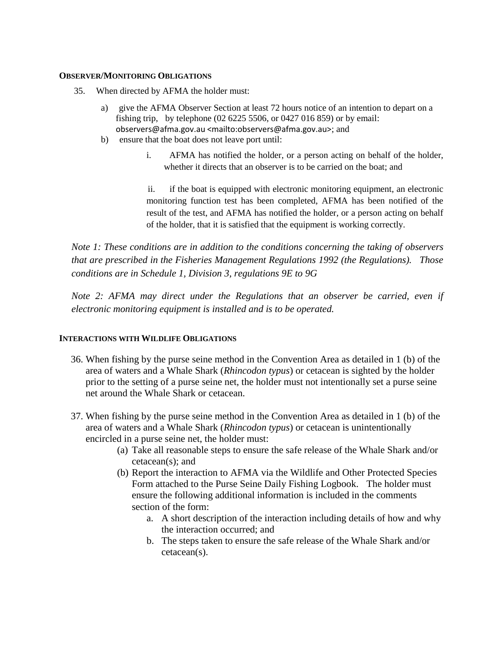#### **OBSERVER/MONITORING OBLIGATIONS**

- 35. When directed by AFMA the holder must:
	- a) give the AFMA Observer Section at least 72 hours notice of an intention to depart on a fishing trip, by telephone (02 6225 5506, or 0427 016 859) or by email: observers@afma.gov.au <mailto:observers@afma.gov.au>; and
	- b) ensure that the boat does not leave port until:
		- i. AFMA has notified the holder, or a person acting on behalf of the holder, whether it directs that an observer is to be carried on the boat; and

ii. if the boat is equipped with electronic monitoring equipment, an electronic monitoring function test has been completed, AFMA has been notified of the result of the test, and AFMA has notified the holder, or a person acting on behalf of the holder, that it is satisfied that the equipment is working correctly.

*Note 1: These conditions are in addition to the conditions concerning the taking of observers that are prescribed in the Fisheries Management Regulations 1992 (the Regulations). Those conditions are in Schedule 1, Division 3, regulations 9E to 9G* 

*Note 2: AFMA may direct under the Regulations that an observer be carried, even if electronic monitoring equipment is installed and is to be operated.* 

## **INTERACTIONS WITH WILDLIFE OBLIGATIONS**

- 36. When fishing by the purse seine method in the Convention Area as detailed in 1 (b) of the area of waters and a Whale Shark (*Rhincodon typus*) or cetacean is sighted by the holder prior to the setting of a purse seine net, the holder must not intentionally set a purse seine net around the Whale Shark or cetacean.
- 37. When fishing by the purse seine method in the Convention Area as detailed in 1 (b) of the area of waters and a Whale Shark (*Rhincodon typus*) or cetacean is unintentionally encircled in a purse seine net, the holder must:
	- (a) Take all reasonable steps to ensure the safe release of the Whale Shark and/or cetacean(s); and
	- (b) Report the interaction to AFMA via the Wildlife and Other Protected Species Form attached to the Purse Seine Daily Fishing Logbook. The holder must ensure the following additional information is included in the comments section of the form:
		- a. A short description of the interaction including details of how and why the interaction occurred; and
		- b. The steps taken to ensure the safe release of the Whale Shark and/or cetacean(s).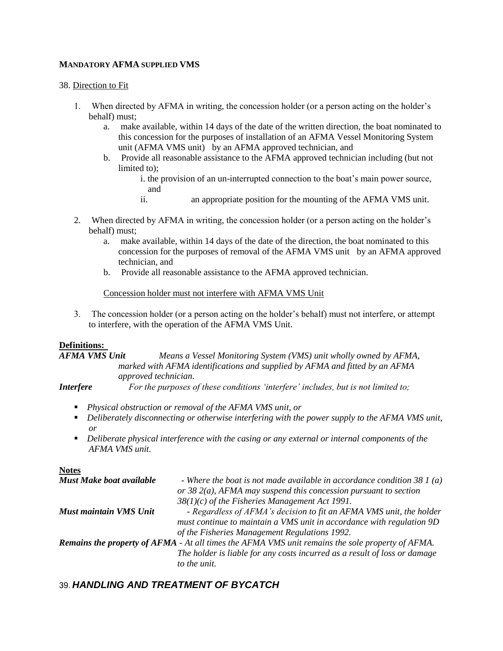## **MANDATORY AFMA SUPPLIED VMS**

38. Direction to Fit

- 1. When directed by AFMA in writing, the concession holder (or a person acting on the holder's behalf) must;
	- a. make available, within 14 days of the date of the written direction, the boat nominated to this concession for the purposes of installation of an AFMA Vessel Monitoring System unit (AFMA VMS unit) by an AFMA approved technician, and
	- b. Provide all reasonable assistance to the AFMA approved technician including (but not limited to);
		- i. the provision of an un-interrupted connection to the boat's main power source, and
		- ii. an appropriate position for the mounting of the AFMA VMS unit.
- 2. When directed by AFMA in writing, the concession holder (or a person acting on the holder's behalf) must;
	- a. make available, within 14 days of the date of the direction, the boat nominated to this concession for the purposes of removal of the AFMA VMS unit by an AFMA approved technician, and
	- b. Provide all reasonable assistance to the AFMA approved technician.

## Concession holder must not interfere with AFMA VMS Unit

3. The concession holder (or a person acting on the holder's behalf) must not interfere, or attempt to interfere, with the operation of the AFMA VMS Unit.

## **Definitions:**

*AFMA VMS Unit Means a Vessel Monitoring System (VMS) unit wholly owned by AFMA, marked with AFMA identifications and supplied by AFMA and fitted by an AFMA approved technician.*

*Interfere For the purposes of these conditions 'interfere' includes, but is not limited to;*

- *Physical obstruction or removal of the AFMA VMS unit, or*
- *Deliberately disconnecting or otherwise interfering with the power supply to the AFMA VMS unit, or*
- *Deliberate physical interference with the casing or any external or internal components of the AFMA VMS unit.*

**Notes**

| Must Make boat available                                                                                | - Where the boat is not made available in accordance condition $381(a)$   |
|---------------------------------------------------------------------------------------------------------|---------------------------------------------------------------------------|
|                                                                                                         | or 38 $2(a)$ , AFMA may suspend this concession pursuant to section       |
|                                                                                                         | $38(1)(c)$ of the Fisheries Management Act 1991.                          |
| Must maintain VMS Unit                                                                                  | - Regardless of AFMA's decision to fit an AFMA VMS unit, the holder       |
|                                                                                                         | must continue to maintain a VMS unit in accordance with regulation 9D     |
|                                                                                                         | of the Fisheries Management Regulations 1992.                             |
| <b>Remains the property of AFMA</b> - At all times the AFMA VMS unit remains the sole property of AFMA. |                                                                           |
|                                                                                                         | The holder is liable for any costs incurred as a result of loss or damage |
|                                                                                                         | to the unit.                                                              |

# 39. *HANDLING AND TREATMENT OF BYCATCH*